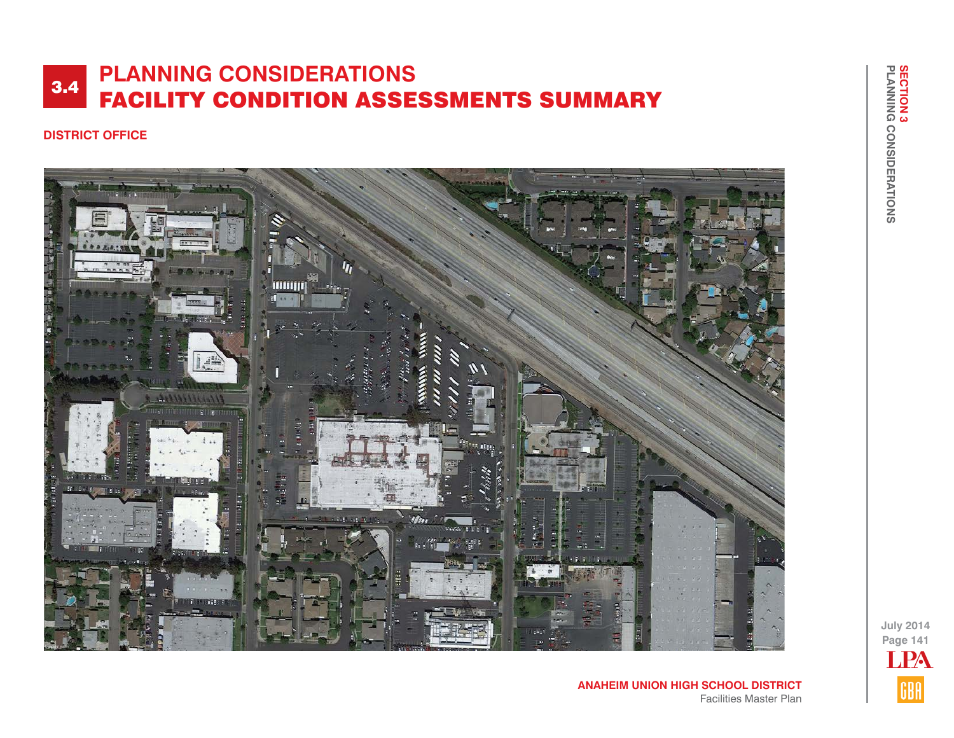### **DISTRICT OFFICE**



**Page 141 July 2014**

LPA

GBA

**ANAHEIM UNION HIGH SCHOOL DISTRICT** Facilities Master Plan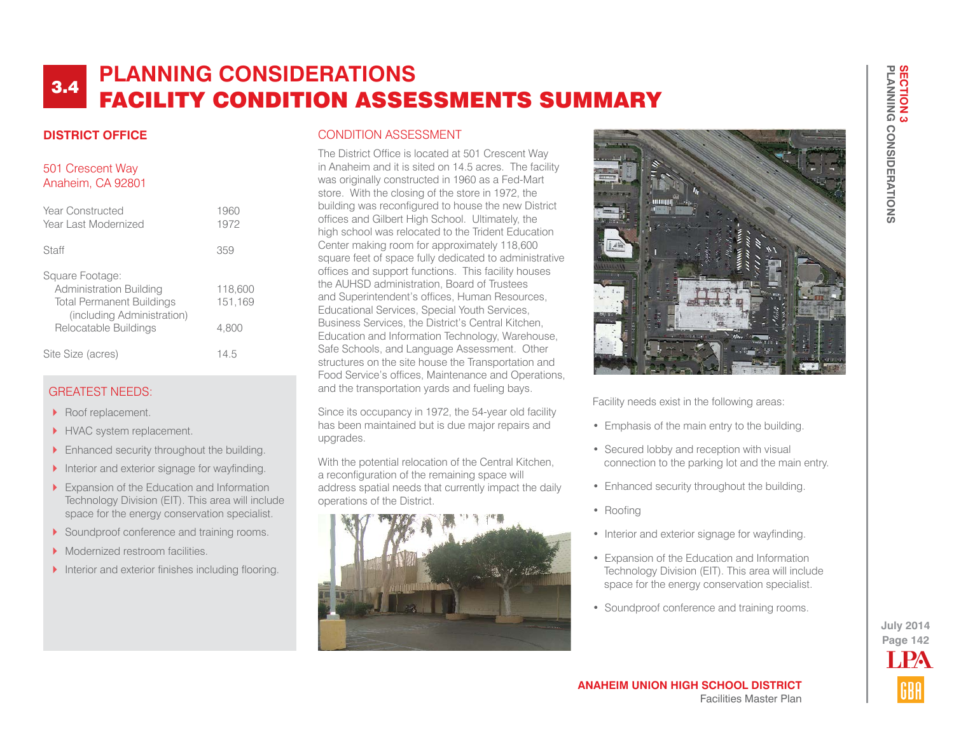### **DISTRICT OFFICE**

#### 501 Crescent Way Anaheim, CA 92801

| Year Constructed<br>Year Last Modernized                                                                                              | 1960<br>1972                |
|---------------------------------------------------------------------------------------------------------------------------------------|-----------------------------|
| Staff                                                                                                                                 | 359                         |
| Square Footage:<br>Administration Building<br><b>Total Permanent Buildings</b><br>(including Administration)<br>Relocatable Buildings | 118,600<br>151.169<br>4.800 |
| Site Size (acres)                                                                                                                     | 14.5                        |

### GREATEST NEEDS:

- Roof replacement.
- HVAC system replacement.
- **Financed security throughout the building.**
- $\blacktriangleright$  Interior and exterior signage for wayfinding.
- Expansion of the Education and Information Technology Division (EIT). This area will include space for the energy conservation specialist.
- Soundproof conference and training rooms.
- **Modernized restroom facilities.**
- Interior and exterior finishes including flooring.

#### CONDITION ASSESSMENT

The District Office is located at 501 Crescent Way in Anaheim and it is sited on 14.5 acres. The facility was originally constructed in 1960 as a Fed-Mart store. With the closing of the store in 1972, the building was reconfigured to house the new District offices and Gilbert High School. Ultimately, the high school was relocated to the Trident Education Center making room for approximately 118,600 square feet of space fully dedicated to administrative offices and support functions. This facility houses the AUHSD administration, Board of Trustees and Superintendent's offices, Human Resources, Educational Services, Special Youth Services, Business Services, the District's Central Kitchen, Education and Information Technology, Warehouse, Safe Schools, and Language Assessment. Other structures on the site house the Transportation and Food Service's offices, Maintenance and Operations, and the transportation yards and fueling bays.

Since its occupancy in 1972, the 54-year old facility has been maintained but is due major repairs and upgrades.

With the potential relocation of the Central Kitchen, a reconfiguration of the remaining space will address spatial needs that currently impact the daily operations of the District.





Facility needs exist in the following areas:

- Emphasis of the main entry to the building.
- Secured lobby and reception with visual connection to the parking lot and the main entry.
- Enhanced security throughout the building.
- Roofing
- Interior and exterior signage for wayfinding.
- Expansion of the Education and Information Technology Division (EIT). This area will include space for the energy conservation specialist.
- Soundproof conference and training rooms.

**Page 142 July 2014 T PA**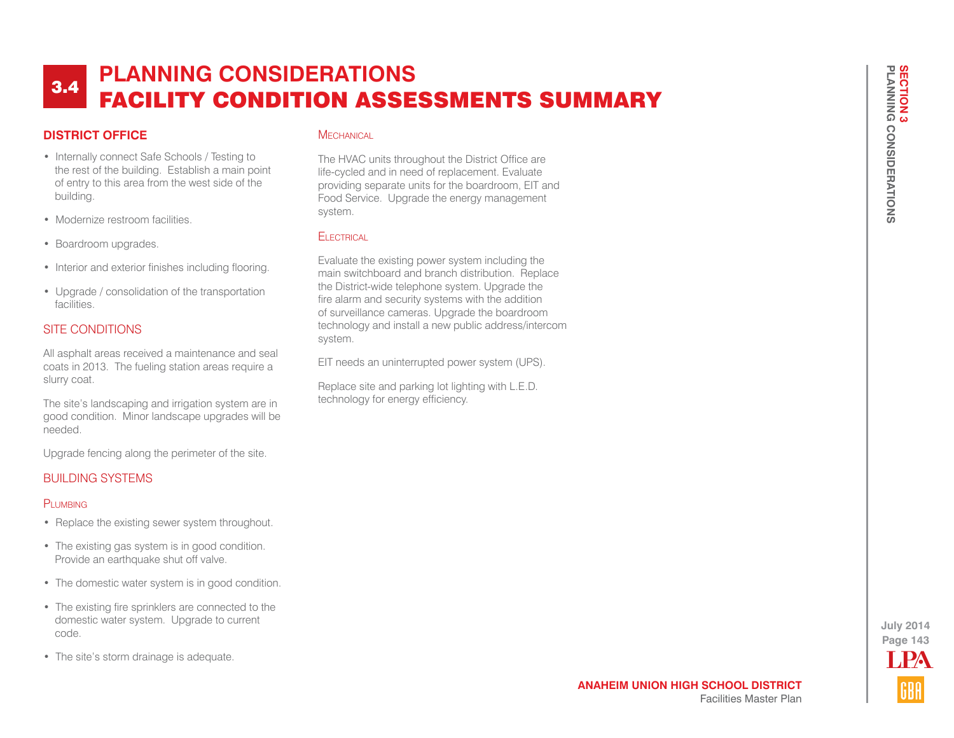## **DISTRICT OFFICE**

- Internally connect Safe Schools / Testing to the rest of the building. Establish a main point of entry to this area from the west side of the building.
- Modernize restroom facilities.
- Boardroom upgrades.
- Interior and exterior finishes including flooring.
- Upgrade / consolidation of the transportation facilities.

### SITE CONDITIONS

All asphalt areas received a maintenance and seal coats in 2013. The fueling station areas require a slurry coat.

The site's landscaping and irrigation system are in good condition. Minor landscape upgrades will be needed.

Upgrade fencing along the perimeter of the site.

### BUILDING SYSTEMS

#### PLUMBING

- Replace the existing sewer system throughout.
- The existing gas system is in good condition. Provide an earthquake shut off valve.
- The domestic water system is in good condition.
- The existing fire sprinklers are connected to the domestic water system. Upgrade to current code.
- The site's storm drainage is adequate.

#### **MECHANICAL**

The HVAC units throughout the District Office are life-cycled and in need of replacement. Evaluate providing separate units for the boardroom, EIT and Food Service. Upgrade the energy management system.

#### **FI ECTRICAL**

Evaluate the existing power system including the main switchboard and branch distribution. Replace the District-wide telephone system. Upgrade the fire alarm and security systems with the addition of surveillance cameras. Upgrade the boardroom technology and install a new public address/intercom system.

EIT needs an uninterrupted power system (UPS).

Replace site and parking lot lighting with L.E.D. technology for energy efficiency.

> **Page 143 July 2014** LPA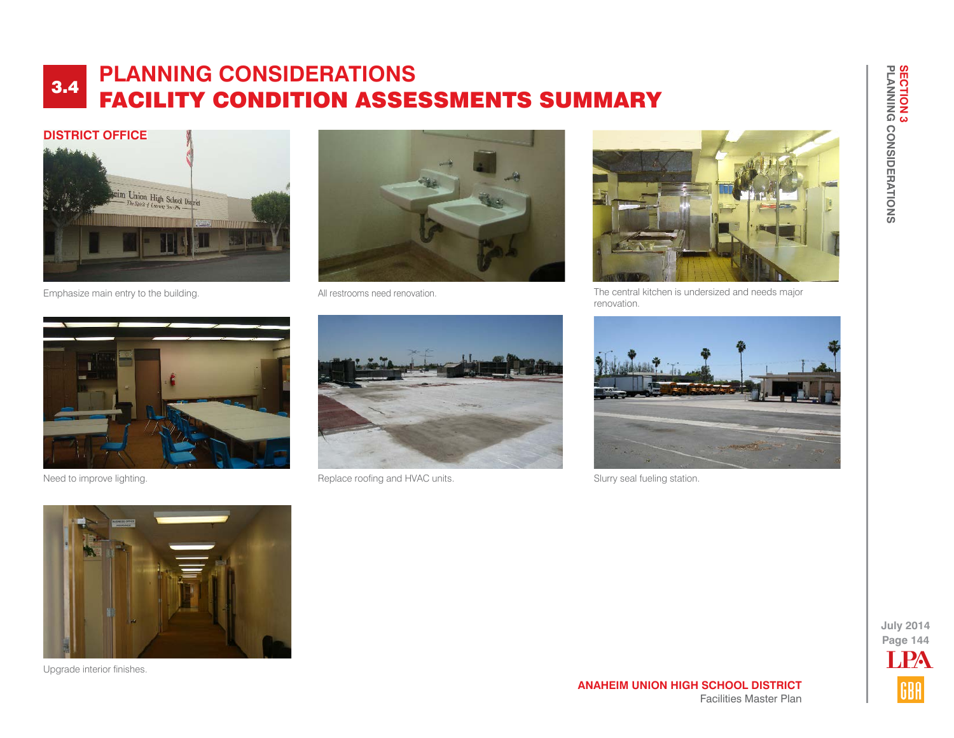

Emphasize main entry to the building. The state of the Mall restrooms need renovation.





The central kitchen is undersized and needs major renovation.





Need to improve lighting. The state of the Replace roofing and HVAC units.



Slurry seal fueling station.



Upgrade interior finishes.



**PLANNING CONSIDERATIONS**

**SECTION 3<br>PLANNING CONSIDERATIONS** 

**SECTION 3**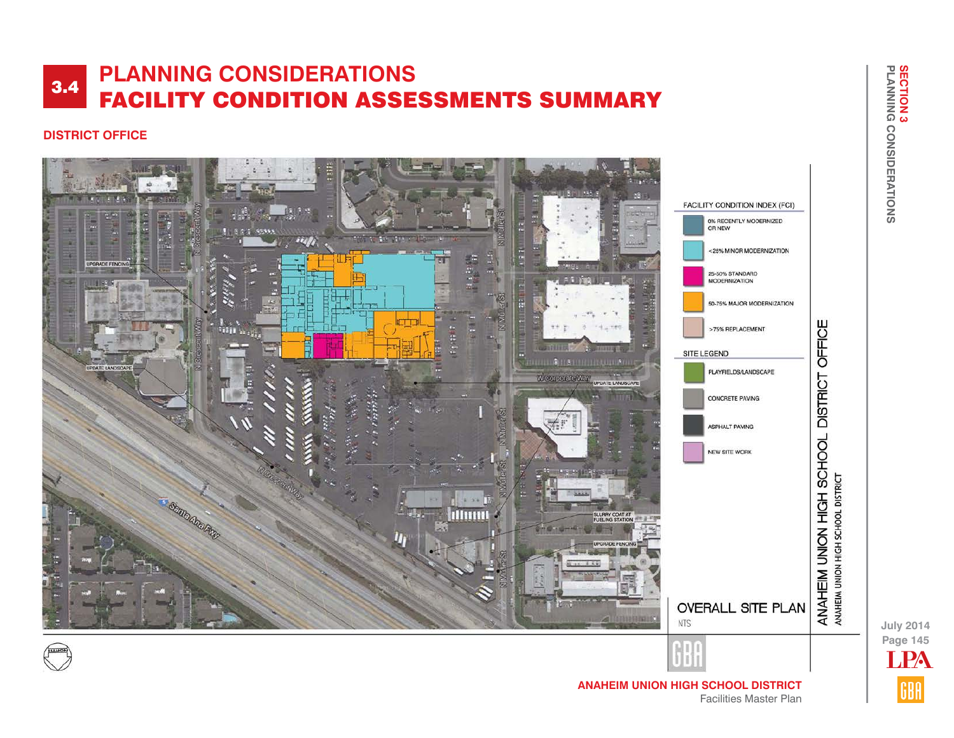## **DISTRICT OFFICE**



**Page 145 July 2014** LPA